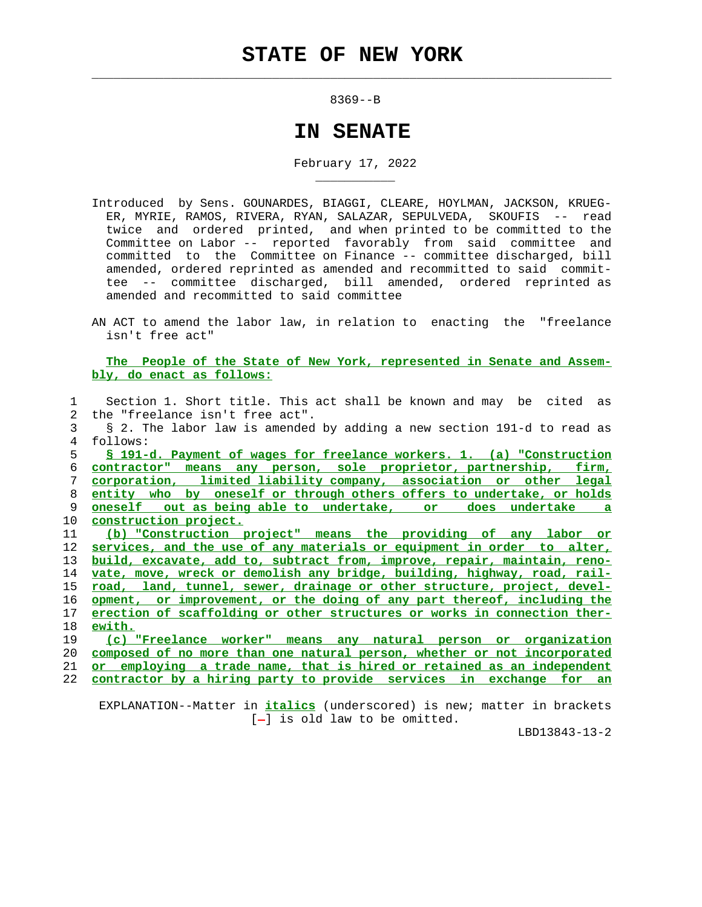$\mathcal{L}_\text{max} = \frac{1}{2} \sum_{i=1}^{n} \frac{1}{2} \sum_{i=1}^{n} \frac{1}{2} \sum_{i=1}^{n} \frac{1}{2} \sum_{i=1}^{n} \frac{1}{2} \sum_{i=1}^{n} \frac{1}{2} \sum_{i=1}^{n} \frac{1}{2} \sum_{i=1}^{n} \frac{1}{2} \sum_{i=1}^{n} \frac{1}{2} \sum_{i=1}^{n} \frac{1}{2} \sum_{i=1}^{n} \frac{1}{2} \sum_{i=1}^{n} \frac{1}{2} \sum_{i=1}^{n} \frac{1$ 

\_\_\_\_\_\_\_\_\_\_\_

8369--B

## **IN SENATE**

February 17, 2022

- Introduced by Sens. GOUNARDES, BIAGGI, CLEARE, HOYLMAN, JACKSON, KRUEG- ER, MYRIE, RAMOS, RIVERA, RYAN, SALAZAR, SEPULVEDA, SKOUFIS -- read twice and ordered printed, and when printed to be committed to the Committee on Labor -- reported favorably from said committee and committed to the Committee on Finance -- committee discharged, bill amended, ordered reprinted as amended and recommitted to said commit tee -- committee discharged, bill amended, ordered reprinted as amended and recommitted to said committee
- AN ACT to amend the labor law, in relation to enacting the "freelance isn't free act"

 **The People of the State of New York, represented in Senate and Assem bly, do enact as follows:**

| 1             | Section 1. Short title. This act shall be known and may be cited as      |
|---------------|--------------------------------------------------------------------------|
| $\mathcal{L}$ | the "freelance isn't free act".                                          |
| 3             | § 2. The labor law is amended by adding a new section 191-d to read as   |
| 4             | follows:                                                                 |
| 5             | § 191-d. Payment of wages for freelance workers. 1. (a) "Construction    |
| 6             | contractor" means any person, sole proprietor, partnership, firm,        |
| 7             | corporation, limited liability company, association or other legal       |
| 8             | entity who by oneself or through others offers to undertake, or holds    |
| 9             | oneself out as being able to undertake, or<br>does undertake a           |
| 10            | construction project.                                                    |
| 11            | (b) "Construction project" means the providing of any labor or           |
| 12            | services, and the use of any materials or equipment in order to alter,   |
| 13            | build, excavate, add to, subtract from, improve, repair, maintain, reno- |
| 14            | vate, move, wreck or demolish any bridge, building, highway, road, rail- |
| 15            | road, land, tunnel, sewer, drainage or other structure, project, devel-  |
| 16            | opment, or improvement, or the doing of any part thereof, including the  |
| 17            | erection of scaffolding or other structures or works in connection ther- |
| 18            | ewith.                                                                   |
| 19            | (c) "Freelance worker" means any natural person or organization          |
| 20            | composed of no more than one natural person, whether or not incorporated |
| 21            | or employing a trade name, that is hired or retained as an independent   |
| 22            | contractor by a hiring party to provide services in exchange for an      |

 EXPLANATION--Matter in **italics** (underscored) is new; matter in brackets  $[-]$  is old law to be omitted.

LBD13843-13-2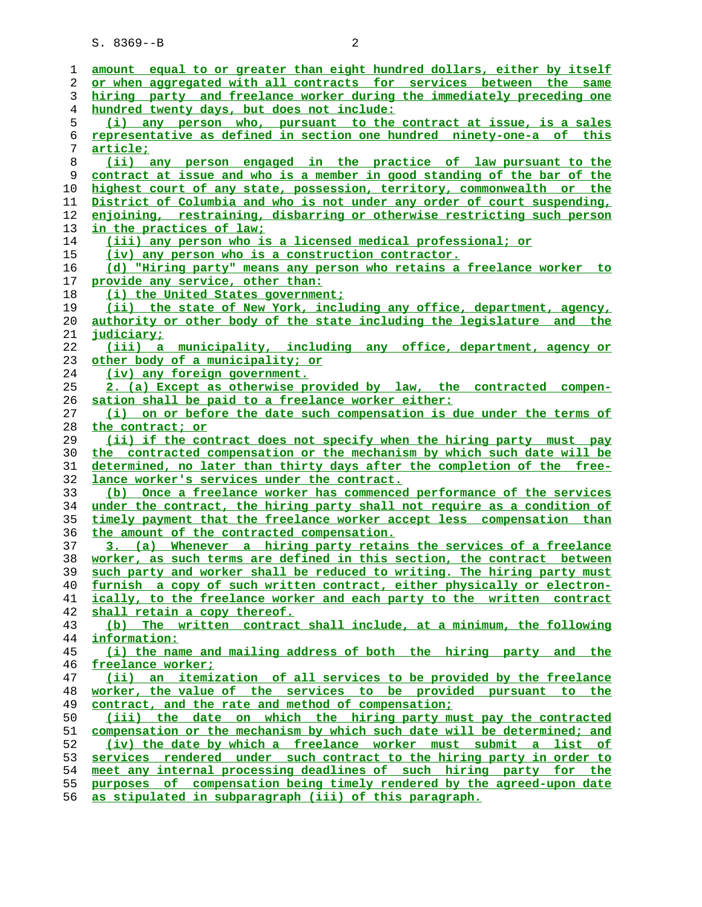| 1        | amount equal to or greater than eight hundred dollars, either by itself                                                                            |
|----------|----------------------------------------------------------------------------------------------------------------------------------------------------|
| 2        | or when aggregated with all contracts for services between the same                                                                                |
| 3        | hiring party and freelance worker during the immediately preceding one                                                                             |
| 4        | hundred twenty days, but does not include:                                                                                                         |
| 5        | (i) any person who, pursuant to the contract at issue, is a sales                                                                                  |
| 6        | representative as defined in section one hundred ninety-one-a of this                                                                              |
| 7        | article;                                                                                                                                           |
| 8        | (ii) any person engaged in the practice of law pursuant to the                                                                                     |
| 9        | contract at issue and who is a member in good standing of the bar of the                                                                           |
| 10       | highest court of any state, possession, territory, commonwealth or the                                                                             |
| 11       | District of Columbia and who is not under any order of court suspending,                                                                           |
| 12       | enjoining, restraining, disbarring or otherwise restricting such person                                                                            |
| 13       | in the practices of law;                                                                                                                           |
| 14       | (iii) any person who is a licensed medical professional; or                                                                                        |
| 15       | (iv) any person who is a construction contractor.                                                                                                  |
| 16       | (d) "Hiring party" means any person who retains a freelance worker to                                                                              |
| 17       | provide any service, other than:                                                                                                                   |
| 18       | (i) the United States government;                                                                                                                  |
| 19       | (ii) the state of New York, including any office, department, agency,                                                                              |
| 20       | authority or other body of the state including the legislature and the                                                                             |
| 21       | <u>judiciary;</u>                                                                                                                                  |
| 22       | (iii) a municipality, including any office, department, agency or                                                                                  |
|          |                                                                                                                                                    |
| 23<br>24 | <u>other body of a municipality; or</u><br>(iv) any foreign government.                                                                            |
|          |                                                                                                                                                    |
| 25       | 2. (a) Except as otherwise provided by law, the contracted<br>compen-                                                                              |
| 26       | sation shall be paid to a freelance worker either:                                                                                                 |
| 27       | (i) on or before the date such compensation is due under the terms of                                                                              |
| 28       | the contract; or                                                                                                                                   |
| 29       | (ii) if the contract does not specify when the hiring party must pay                                                                               |
| 30       | the contracted compensation or the mechanism by which such date will be<br>determined, no later than thirty days after the completion of the free- |
| 31<br>32 | lance worker's services under the contract.                                                                                                        |
| 33       | (b) Once a freelance worker has commenced performance of the services                                                                              |
| 34       | under the contract, the hiring party shall not require as a condition of                                                                           |
|          |                                                                                                                                                    |
| 35       | timely payment that the freelance worker accept less compensation than                                                                             |
| 36       | the amount of the contracted compensation.                                                                                                         |
| 37       | 3. (a) Whenever a hiring party retains the services of a freelance                                                                                 |
| 38       | worker, as such terms are defined in this section, the contract between                                                                            |
| 39       | such party and worker shall be reduced to writing. The hiring party must                                                                           |
| 40       | furnish a copy of such written contract, either physically or electron-                                                                            |
| 41       | ically, to the freelance worker and each party to the written contract                                                                             |
| 42       | shall retain a copy thereof.                                                                                                                       |
| 43       | (b) The written contract shall include, at a minimum, the following                                                                                |
| 44<br>45 | information:<br>(i) the name and mailing address of both the hiring party and the                                                                  |
| 46       | freelance worker;                                                                                                                                  |
| 47       | (ii) an itemization of all services to be provided by the freelance                                                                                |
| 48       | worker, the value of the services to be provided pursuant to the                                                                                   |
| 49       | contract, and the rate and method of compensation;                                                                                                 |
| 50       | (iii) the date on which the hiring party must pay the contracted                                                                                   |
| 51       | compensation or the mechanism by which such date will be determined; and                                                                           |
| 52       | (iv) the date by which a freelance worker must submit a list of                                                                                    |
| 53       | services rendered under such contract to the hiring party in order to                                                                              |
| 54       | meet any internal processing deadlines of such hiring party for the                                                                                |
|          | purposes of compensation being timely rendered by the agreed-upon date                                                                             |
| 55<br>56 | as stipulated in subparagraph (iii) of this paragraph.                                                                                             |
|          |                                                                                                                                                    |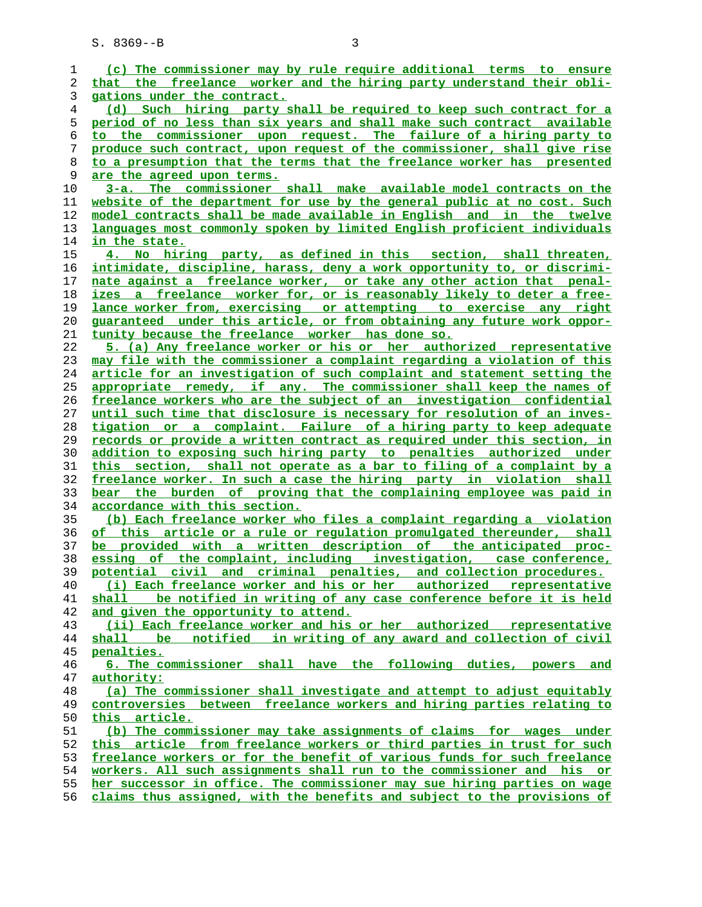| 1  | (c) The commissioner may by rule require additional terms to ensure      |
|----|--------------------------------------------------------------------------|
| 2  | that the freelance worker and the hiring party understand their obli-    |
| 3  | gations under the contract.                                              |
|    |                                                                          |
| 4  | (d) Such hiring party shall be required to keep such contract for a      |
| 5  | period of no less than six years and shall make such contract available  |
| 6  | to the commissioner upon request. The failure of a hiring party to       |
| 7  | produce such contract, upon request of the commissioner, shall give rise |
| 8  | to a presumption that the terms that the freelance worker has presented  |
| 9  | are the agreed upon terms.                                               |
| 10 | 3-a. The commissioner shall make available model contracts on the        |
| 11 | website of the department for use by the general public at no cost. Such |
| 12 | model contracts shall be made available in English and in the twelve     |
| 13 | languages most commonly spoken by limited English proficient individuals |
| 14 | in the state.                                                            |
| 15 | 4. No hiring party, as defined in this section, shall threaten,          |
| 16 | intimidate, discipline, harass, deny a work opportunity to, or discrimi- |
| 17 | nate against a freelance worker, or take any other action that penal-    |
| 18 | izes a freelance worker for, or is reasonably likely to deter a free-    |
| 19 | lance worker from, exercising or attempting to exercise any right        |
| 20 | guaranteed under this article, or from obtaining any future work oppor-  |
| 21 | tunity because the freelance worker has done so.                         |
| 22 | 5. (a) Any freelance worker or his or her authorized representative      |
| 23 | may file with the commissioner a complaint regarding a violation of this |
| 24 | article for an investigation of such complaint and statement setting the |
| 25 |                                                                          |
|    | appropriate remedy, if any. The commissioner shall keep the names of     |
| 26 | freelance workers who are the subject of an investigation confidential   |
| 27 | until such time that disclosure is necessary for resolution of an inves- |
| 28 | tigation or a complaint. Failure of a hiring party to keep adequate      |
| 29 | records or provide a written contract as required under this section, in |
| 30 | addition to exposing such hiring party to penalties authorized under     |
| 31 | this section, shall not operate as a bar to filing of a complaint by a   |
| 32 | freelance worker. In such a case the hiring party in violation shall     |
| 33 | bear the burden of proving that the complaining employee was paid in     |
| 34 | accordance with this section.                                            |
| 35 | (b) Each freelance worker who files a complaint regarding a violation    |
| 36 | of this article or a rule or requlation promulgated thereunder, shall    |
| 37 | be provided with a written description of the anticipated proc-          |
| 38 | essing of the complaint, including investigation, case conference,       |
| 39 | potential civil and criminal penalties, and collection procedures.       |
| 40 | (i) Each freelance worker and his or her authorized representative       |
| 41 | shall be notified in writing of any case conference before it is held    |
| 42 | and given the opportunity to attend.                                     |
| 43 | (ii) Each freelance worker and his or her authorized representative      |
| 44 | notified in writing of any award and collection of civil<br>shall be     |
| 45 | penalties.                                                               |
| 46 | 6. The commissioner shall have the following duties, powers and          |
| 47 | authority:                                                               |
| 48 | (a) The commissioner shall investigate and attempt to adjust equitably   |
| 49 | controversies between freelance workers and hiring parties relating to   |
| 50 | this article.                                                            |
| 51 | (b) The commissioner may take assignments of claims for wages under      |
| 52 | this article from freelance workers or third parties in trust for such   |
| 53 | freelance workers or for the benefit of various funds for such freelance |
| 54 | workers. All such assignments shall run to the commissioner and his or   |
| 55 | her successor in office. The commissioner may sue hiring parties on wage |
| 56 | claims thus assigned, with the benefits and subject to the provisions of |
|    |                                                                          |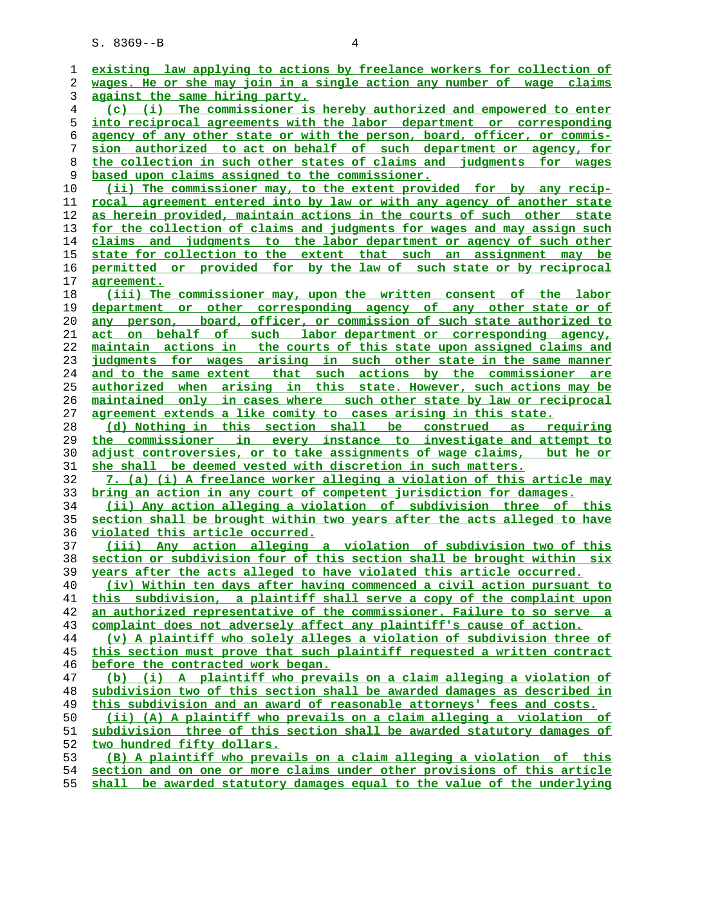| 1              | existing law applying to actions by freelance workers for collection of  |
|----------------|--------------------------------------------------------------------------|
| 2              | wages. He or she may join in a single action any number of wage claims   |
| 3              | against the same hiring party.                                           |
| $\overline{4}$ | (c) (i) The commissioner is hereby authorized and empowered to enter     |
| 5              | into reciprocal agreements with the labor department or corresponding    |
| 6              | agency of any other state or with the person, board, officer, or commis- |
| 7              | sion authorized to act on behalf of such department or agency, for       |
| 8              | the collection in such other states of claims and judgments for wages    |
| 9              | based upon claims assigned to the commissioner.                          |
| 10             | (ii) The commissioner may, to the extent provided for by any recip-      |
|                | rocal agreement entered into by law or with any agency of another state  |
| 11             |                                                                          |
| 12             | as herein provided, maintain actions in the courts of such other state   |
| 13             | for the collection of claims and judgments for wages and may assign such |
| 14             | and judgments to the labor department or agency of such other<br>claims  |
| 15             | state for collection to the extent that such an assignment may be        |
| 16             | permitted or provided for by the law of such state or by reciprocal      |
| 17             | <u>agreement.</u>                                                        |
| 18             | (iii) The commissioner may, upon the written consent of the labor        |
| 19             | department or other corresponding agency of any other state or of        |
| 20             | any person, board, officer, or commission of such state authorized to    |
| 21             | act on behalf of such labor department or corresponding agency,          |
| 22             | maintain actions in the courts of this state upon assigned claims and    |
| 23             | judgments for wages arising in such other state in the same manner       |
| 24             | and to the same extent that such actions by the commissioner are         |
| 25             | authorized when arising in this state. However, such actions may be      |
| 26             | maintained only in cases where such other state by law or reciprocal     |
| 27             | agreement extends a like comity to cases arising in this state.          |
| 28             | (d) Nothing in this section shall be construed as requiring              |
| 29             | the commissioner in every instance to investigate and attempt to         |
| 30             |                                                                          |
|                | adjust controversies, or to take assignments of wage claims, but he or   |
| 31             | she shall be deemed vested with discretion in such matters.              |
| 32             | 7. (a) (i) A freelance worker alleging a violation of this article may   |
| 33             | bring an action in any court of competent jurisdiction for damages.      |
| 34             | (ii) Any action alleging a violation of subdivision three of this        |
| 35             | section shall be brought within two years after the acts alleged to have |
| 36             | violated this article occurred.                                          |
| 37             | (iii) Any action alleging a violation of subdivision two of this         |
| 38             | section or subdivision four of this section shall be brought within six  |
| 39             | years after the acts alleged to have violated this article occurred.     |
| 40             | (iv) Within ten days after having commenced a civil action pursuant to   |
| 41             | this subdivision, a plaintiff shall serve a copy of the complaint upon   |
| 42             | an authorized representative of the commissioner. Failure to so serve a  |
| 43             | complaint does not adversely affect any plaintiff's cause of action.     |
| 44             | (v) A plaintiff who solely alleges a violation of subdivision three of   |
| 45             | this section must prove that such plaintiff requested a written contract |
| 46             | before the contracted work began.                                        |
| 47             | (b) (i) A plaintiff who prevails on a claim alleging a violation of      |
| 48             | subdivision two of this section shall be awarded damages as described in |
| 49             | this subdivision and an award of reasonable attorneys' fees and costs.   |
| 50             | (ii) (A) A plaintiff who prevails on a claim alleging a violation of     |
| 51             | subdivision three of this section shall be awarded statutory damages of  |
| 52             | two hundred fifty dollars.                                               |
| 53             | (B) A plaintiff who prevails on a claim alleging a violation of this     |
| 54             | section and on one or more claims under other provisions of this article |
| 55             | shall be awarded statutory damages equal to the value of the underlying  |
|                |                                                                          |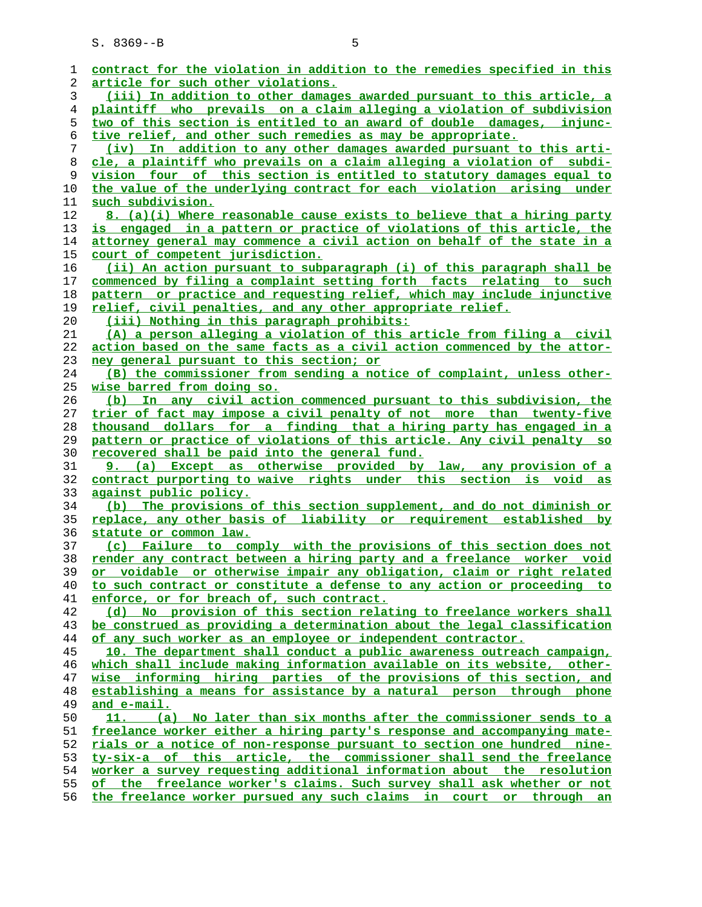| 1  | contract for the violation in addition to the remedies specified in this        |
|----|---------------------------------------------------------------------------------|
| 2  | <u>article for such other violations.</u>                                       |
| 3  | (iii) In addition to other damages awarded pursuant to this article, a          |
| 4  | plaintiff who prevails on a claim alleging a violation of subdivision           |
| 5  | two of this section is entitled to an award of double damages, injunc-          |
| 6  | tive relief, and other such remedies as may be appropriate.                     |
| 7  | (iv) In addition to any other damages awarded pursuant to this arti-            |
| 8  | cle, a plaintiff who prevails on a claim alleging a violation of subdi-         |
| 9  | vision four of this section is entitled to statutory damages equal to           |
| 10 | the value of the underlying contract for each violation arising under           |
| 11 | such subdivision.                                                               |
| 12 | <u>8. (a)(i) Where reasonable cause exists to believe that a hiring party</u>   |
| 13 | is engaged in a pattern or practice of violations of this article, the          |
| 14 | attorney general may commence a civil action on behalf of the state in a        |
| 15 | <u>court of competent jurisdiction.</u>                                         |
| 16 | (ii) An action pursuant to subparagraph (i) of this paragraph shall be          |
| 17 | commenced by filing a complaint setting forth facts relating to such            |
| 18 | pattern or practice and requesting relief, which may include injunctive         |
| 19 | relief, civil penalties, and any other appropriate relief.                      |
| 20 | <u>(iii) Nothing in this paragraph prohibits:</u>                               |
| 21 | (A) a person alleging a violation of this article from filing a civil           |
| 22 | <u>action based on the same facts as a civil action commenced by the attor-</u> |
| 23 | ney general pursuant to this section; or                                        |
| 24 | (B) the commissioner from sending a notice of complaint, unless other-          |
| 25 | <u>wise barred from doing so.</u>                                               |
| 26 | (b) In any civil action commenced pursuant to this subdivision, the             |
| 27 | trier of fact may impose a civil penalty of not more than twenty-five           |
| 28 | thousand dollars for a finding that a hiring party has engaged in a             |
| 29 | pattern or practice of violations of this article. Any civil penalty so         |
| 30 | recovered shall be paid into the general fund.                                  |
| 31 | 9. (a) Except as otherwise provided by law, any provision of a                  |
| 32 | contract purporting to waive rights under this section is void as               |
| 33 | against public policy.                                                          |
| 34 | (b) The provisions of this section supplement, and do not diminish or           |
| 35 | replace, any other basis of liability or requirement established by             |
| 36 | statute or common law.                                                          |
| 37 | (c) Failure to comply with the provisions of this section does not              |
| 38 | render any contract between a hiring party and a freelance worker void          |
| 39 | or voidable or otherwise impair any obligation, claim or right related          |
| 40 | to such contract or constitute a defense to any action or proceeding to         |
| 41 | enforce, or for breach of, such contract.                                       |
| 42 | (d) No provision of this section relating to freelance workers shall            |
| 43 | be construed as providing a determination about the legal classification        |
| 44 | of any such worker as an employee or independent contractor.                    |
| 45 | 10. The department shall conduct a public awareness outreach campaign,          |
| 46 | which shall include making information available on its website, other-         |
| 47 | wise informing hiring parties of the provisions of this section, and            |
| 48 | establishing a means for assistance by a natural person through phone           |
| 49 | and e-mail.                                                                     |
| 50 | (a) No later than six months after the commissioner sends to a                  |
| 51 | freelance worker either a hiring party's response and accompanying mate-        |
| 52 | rials or a notice of non-response pursuant to section one hundred nine-         |
| 53 | ty-six-a of this article, the commissioner shall send the freelance             |
| 54 | worker a survey requesting additional information about the resolution          |
| 55 | of the freelance worker's claims. Such survey shall ask whether or not          |
|    |                                                                                 |

**the freelance worker pursued any such claims in court or through an**